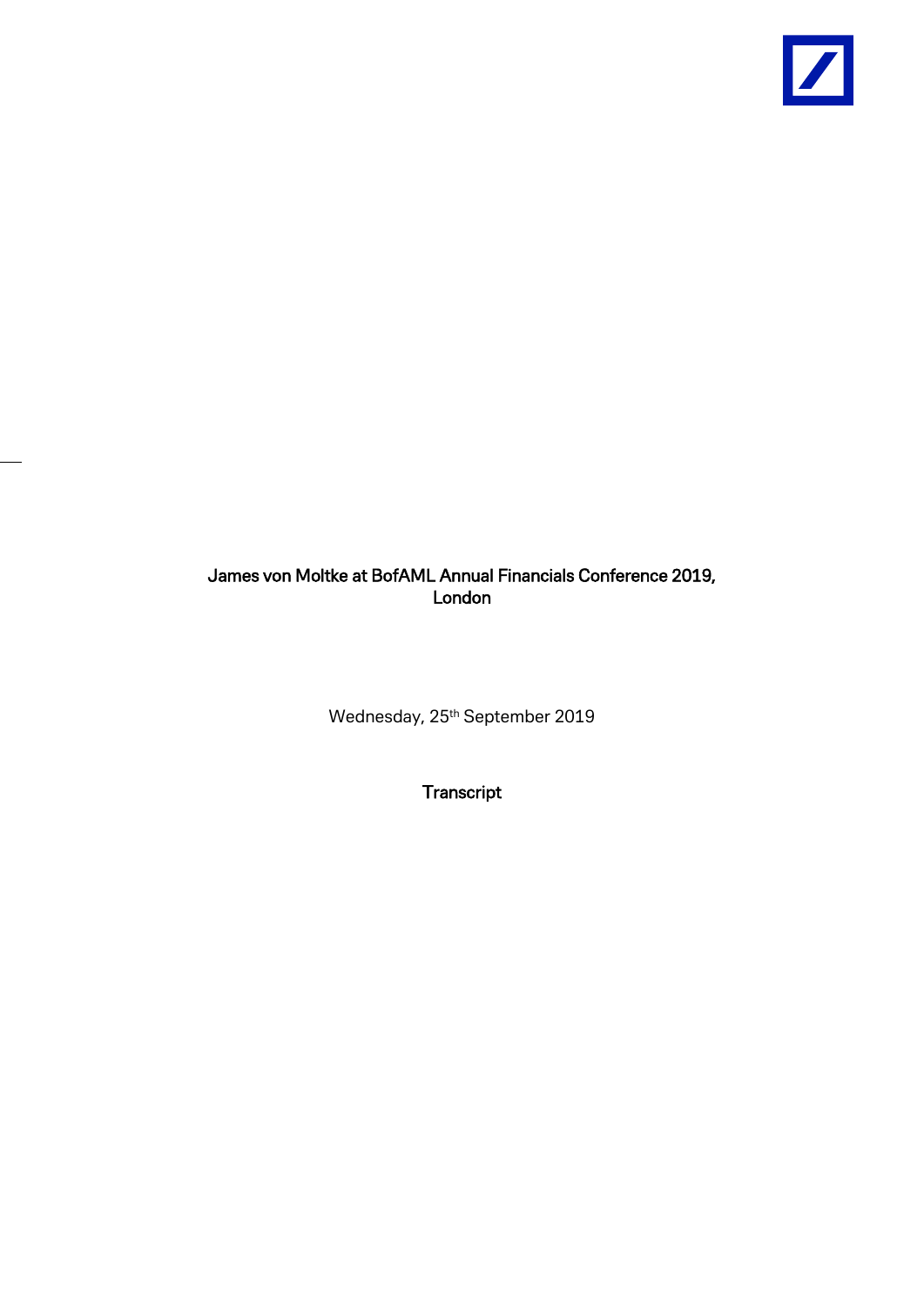

## James von Moltke at BofAML Annual Financials Conference 2019, London

Wednesday, 25<sup>th</sup> September 2019

Transcript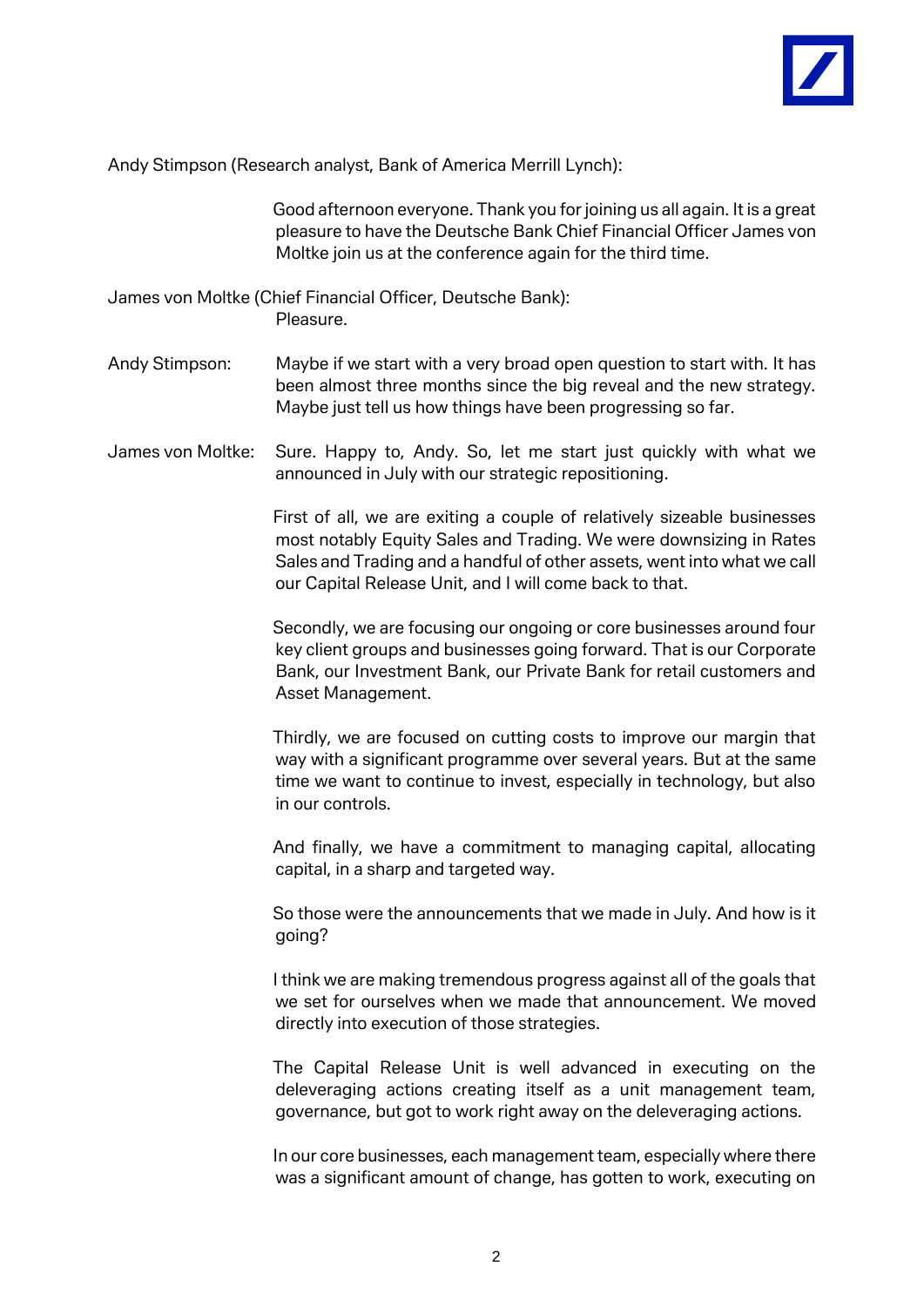

Andy Stimpson (Research analyst, Bank of America Merrill Lynch):

Good afternoon everyone. Thank you for joining us all again. It is a great pleasure to have the Deutsche Bank Chief Financial Officer James von Moltke join us at the conference again for the third time.

James von Moltke (Chief Financial Officer, Deutsche Bank): Pleasure.

- Andy Stimpson: Maybe if we start with a very broad open question to start with. It has been almost three months since the big reveal and the new strategy. Maybe just tell us how things have been progressing so far.
- James von Moltke: Sure. Happy to, Andy. So, let me start just quickly with what we announced in July with our strategic repositioning.

First of all, we are exiting a couple of relatively sizeable businesses most notably Equity Sales and Trading. We were downsizing in Rates Sales and Trading and a handful of other assets, went into what we call our Capital Release Unit, and I will come back to that.

Secondly, we are focusing our ongoing or core businesses around four key client groups and businesses going forward. That is our Corporate Bank, our Investment Bank, our Private Bank for retail customers and Asset Management.

Thirdly, we are focused on cutting costs to improve our margin that way with a significant programme over several years. But at the same time we want to continue to invest, especially in technology, but also in our controls.

And finally, we have a commitment to managing capital, allocating capital, in a sharp and targeted way.

So those were the announcements that we made in July. And how is it going?

I think we are making tremendous progress against all of the goals that we set for ourselves when we made that announcement. We moved directly into execution of those strategies.

The Capital Release Unit is well advanced in executing on the deleveraging actions creating itself as a unit management team, governance, but got to work right away on the deleveraging actions.

In our core businesses, each management team, especially where there was a significant amount of change, has gotten to work, executing on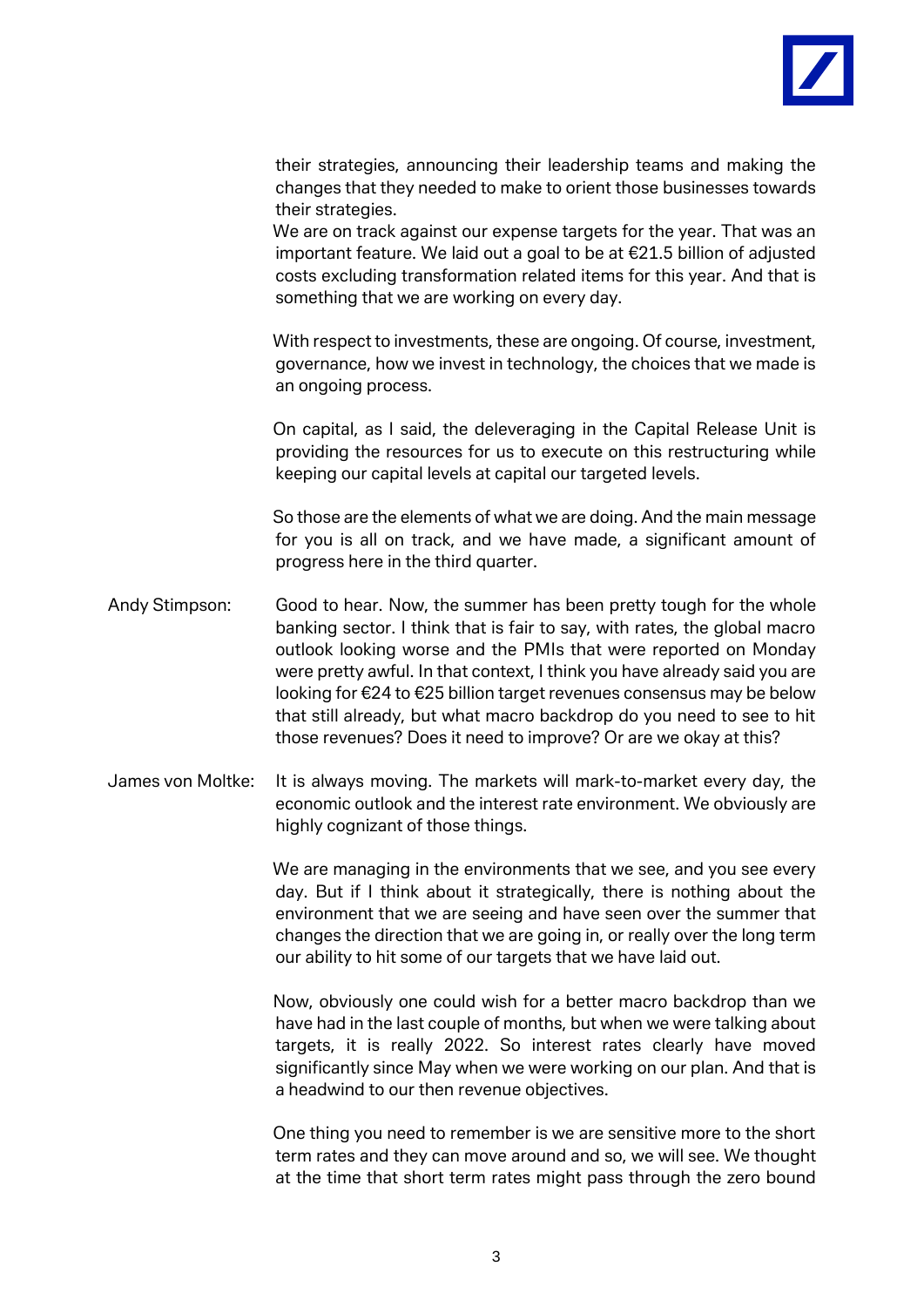

their strategies, announcing their leadership teams and making the changes that they needed to make to orient those businesses towards their strategies.

We are on track against our expense targets for the year. That was an important feature. We laid out a goal to be at €21.5 billion of adjusted costs excluding transformation related items for this year. And that is something that we are working on every day.

With respect to investments, these are ongoing. Of course, investment, governance, how we invest in technology, the choices that we made is an ongoing process.

On capital, as I said, the deleveraging in the Capital Release Unit is providing the resources for us to execute on this restructuring while keeping our capital levels at capital our targeted levels.

So those are the elements of what we are doing. And the main message for you is all on track, and we have made, a significant amount of progress here in the third quarter.

- Andy Stimpson: Good to hear. Now, the summer has been pretty tough for the whole banking sector. I think that is fair to say, with rates, the global macro outlook looking worse and the PMIs that were reported on Monday were pretty awful. In that context, I think you have already said you are looking for €24 to €25 billion target revenues consensus may be below that still already, but what macro backdrop do you need to see to hit those revenues? Does it need to improve? Or are we okay at this?
- James von Moltke: It is always moving. The markets will mark-to-market every day, the economic outlook and the interest rate environment. We obviously are highly cognizant of those things.

We are managing in the environments that we see, and you see every day. But if I think about it strategically, there is nothing about the environment that we are seeing and have seen over the summer that changes the direction that we are going in, or really over the long term our ability to hit some of our targets that we have laid out.

Now, obviously one could wish for a better macro backdrop than we have had in the last couple of months, but when we were talking about targets, it is really 2022. So interest rates clearly have moved significantly since May when we were working on our plan. And that is a headwind to our then revenue objectives.

One thing you need to remember is we are sensitive more to the short term rates and they can move around and so, we will see. We thought at the time that short term rates might pass through the zero bound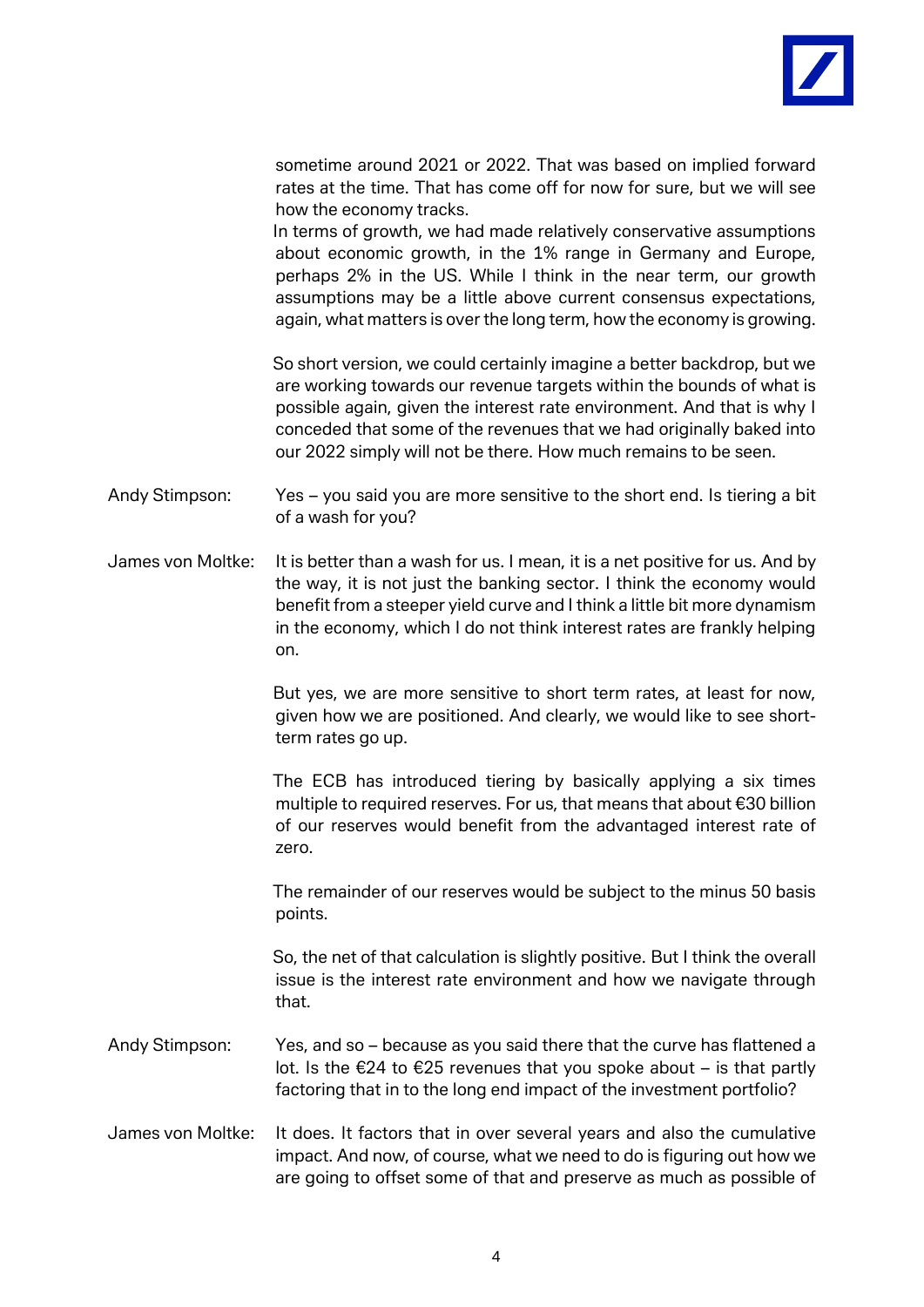

sometime around 2021 or 2022. That was based on implied forward rates at the time. That has come off for now for sure, but we will see how the economy tracks.

In terms of growth, we had made relatively conservative assumptions about economic growth, in the 1% range in Germany and Europe, perhaps 2% in the US. While I think in the near term, our growth assumptions may be a little above current consensus expectations, again, what matters is over the long term, how the economy is growing.

So short version, we could certainly imagine a better backdrop, but we are working towards our revenue targets within the bounds of what is possible again, given the interest rate environment. And that is why I conceded that some of the revenues that we had originally baked into our 2022 simply will not be there. How much remains to be seen.

Andy Stimpson: Yes – you said you are more sensitive to the short end. Is tiering a bit of a wash for you?

James von Moltke: It is better than a wash for us. I mean, it is a net positive for us. And by the way, it is not just the banking sector. I think the economy would benefit from a steeper yield curve and I think a little bit more dynamism in the economy, which I do not think interest rates are frankly helping on.

> But yes, we are more sensitive to short term rates, at least for now, given how we are positioned. And clearly, we would like to see shortterm rates go up.

> The ECB has introduced tiering by basically applying a six times multiple to required reserves. For us, that means that about €30 billion of our reserves would benefit from the advantaged interest rate of zero.

> The remainder of our reserves would be subject to the minus 50 basis points.

> So, the net of that calculation is slightly positive. But I think the overall issue is the interest rate environment and how we navigate through that.

- Andy Stimpson: Yes, and so because as you said there that the curve has flattened a lot. Is the €24 to €25 revenues that you spoke about – is that partly factoring that in to the long end impact of the investment portfolio?
- James von Moltke: It does. It factors that in over several years and also the cumulative impact. And now, of course, what we need to do is figuring out how we are going to offset some of that and preserve as much as possible of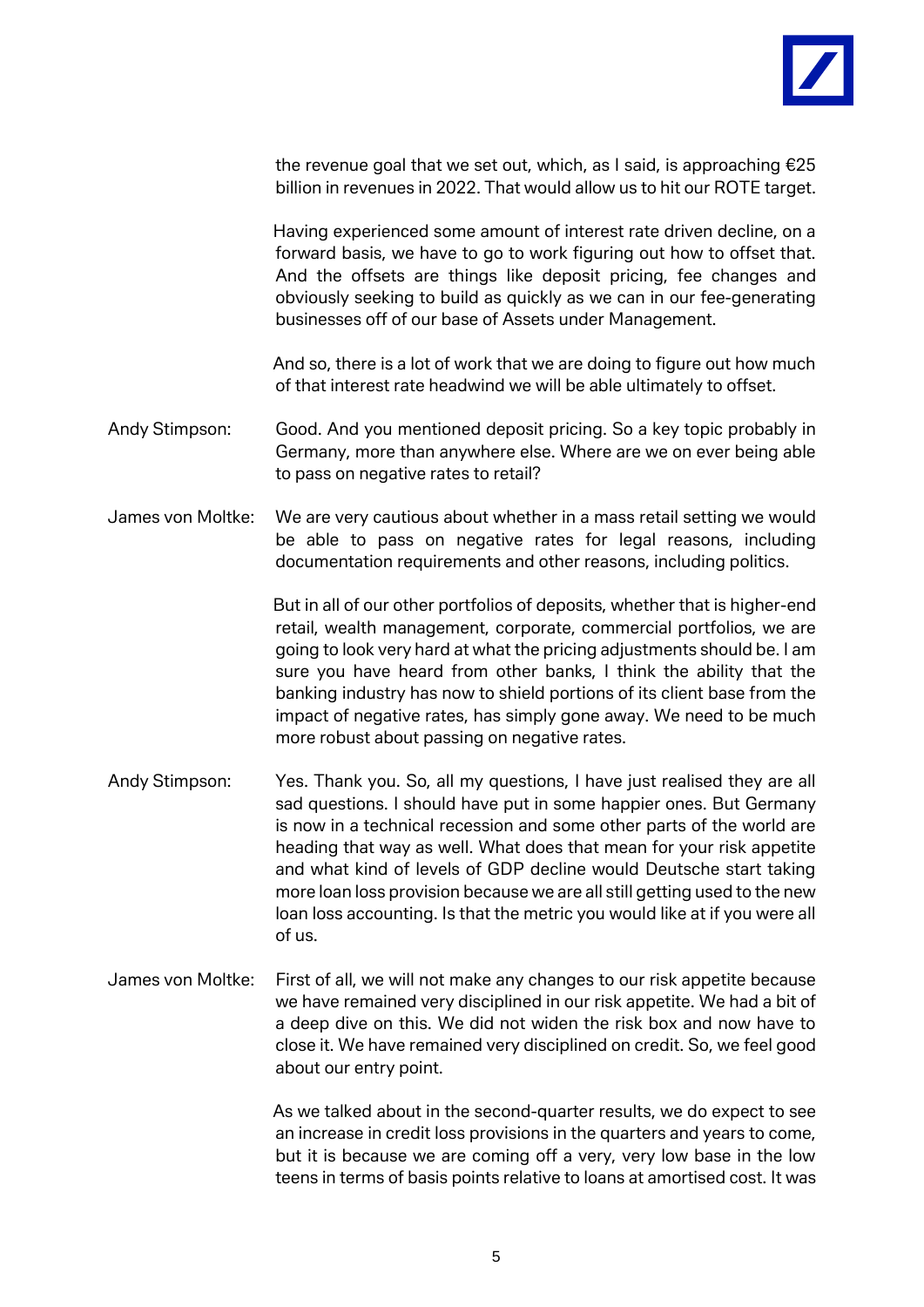

the revenue goal that we set out, which, as I said, is approaching  $E25$ billion in revenues in 2022. That would allow us to hit our ROTE target.

Having experienced some amount of interest rate driven decline, on a forward basis, we have to go to work figuring out how to offset that. And the offsets are things like deposit pricing, fee changes and obviously seeking to build as quickly as we can in our fee-generating businesses off of our base of Assets under Management.

And so, there is a lot of work that we are doing to figure out how much of that interest rate headwind we will be able ultimately to offset.

- Andy Stimpson: Good. And you mentioned deposit pricing. So a key topic probably in Germany, more than anywhere else. Where are we on ever being able to pass on negative rates to retail?
- James von Moltke: We are very cautious about whether in a mass retail setting we would be able to pass on negative rates for legal reasons, including documentation requirements and other reasons, including politics.

But in all of our other portfolios of deposits, whether that is higher-end retail, wealth management, corporate, commercial portfolios, we are going to look very hard at what the pricing adjustments should be. I am sure you have heard from other banks, I think the ability that the banking industry has now to shield portions of its client base from the impact of negative rates, has simply gone away. We need to be much more robust about passing on negative rates.

- Andy Stimpson: Yes. Thank you. So, all my questions, I have just realised they are all sad questions. I should have put in some happier ones. But Germany is now in a technical recession and some other parts of the world are heading that way as well. What does that mean for your risk appetite and what kind of levels of GDP decline would Deutsche start taking more loan loss provision because we are all still getting used to the new loan loss accounting. Is that the metric you would like at if you were all of us.
- James von Moltke: First of all, we will not make any changes to our risk appetite because we have remained very disciplined in our risk appetite. We had a bit of a deep dive on this. We did not widen the risk box and now have to close it. We have remained very disciplined on credit. So, we feel good about our entry point.

As we talked about in the second-quarter results, we do expect to see an increase in credit loss provisions in the quarters and years to come, but it is because we are coming off a very, very low base in the low teens in terms of basis points relative to loans at amortised cost. It was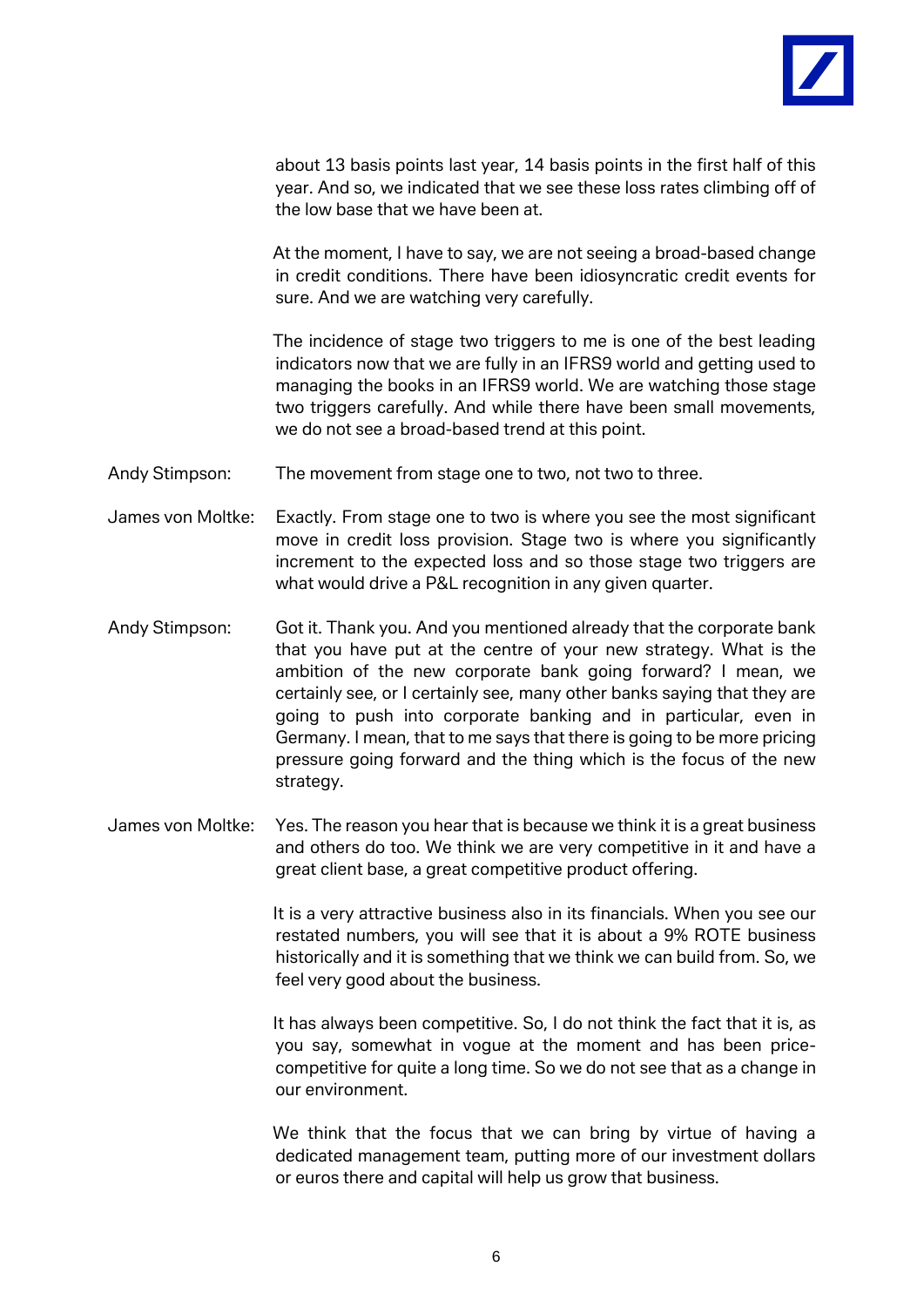

about 13 basis points last year, 14 basis points in the first half of this year. And so, we indicated that we see these loss rates climbing off of the low base that we have been at.

At the moment, I have to say, we are not seeing a broad-based change in credit conditions. There have been idiosyncratic credit events for sure. And we are watching very carefully.

The incidence of stage two triggers to me is one of the best leading indicators now that we are fully in an IFRS9 world and getting used to managing the books in an IFRS9 world. We are watching those stage two triggers carefully. And while there have been small movements, we do not see a broad-based trend at this point.

- Andy Stimpson: The movement from stage one to two, not two to three.
- James von Moltke: Exactly. From stage one to two is where you see the most significant move in credit loss provision. Stage two is where you significantly increment to the expected loss and so those stage two triggers are what would drive a P&L recognition in any given quarter.
- Andy Stimpson: Got it. Thank you. And you mentioned already that the corporate bank that you have put at the centre of your new strategy. What is the ambition of the new corporate bank going forward? I mean, we certainly see, or I certainly see, many other banks saying that they are going to push into corporate banking and in particular, even in Germany. I mean, that to me says that there is going to be more pricing pressure going forward and the thing which is the focus of the new strategy.
- James von Moltke: Yes. The reason you hear that is because we think it is a great business and others do too. We think we are very competitive in it and have a great client base, a great competitive product offering.

It is a very attractive business also in its financials. When you see our restated numbers, you will see that it is about a 9% ROTE business historically and it is something that we think we can build from. So, we feel very good about the business.

It has always been competitive. So, I do not think the fact that it is, as you say, somewhat in vogue at the moment and has been pricecompetitive for quite a long time. So we do not see that as a change in our environment.

We think that the focus that we can bring by virtue of having a dedicated management team, putting more of our investment dollars or euros there and capital will help us grow that business.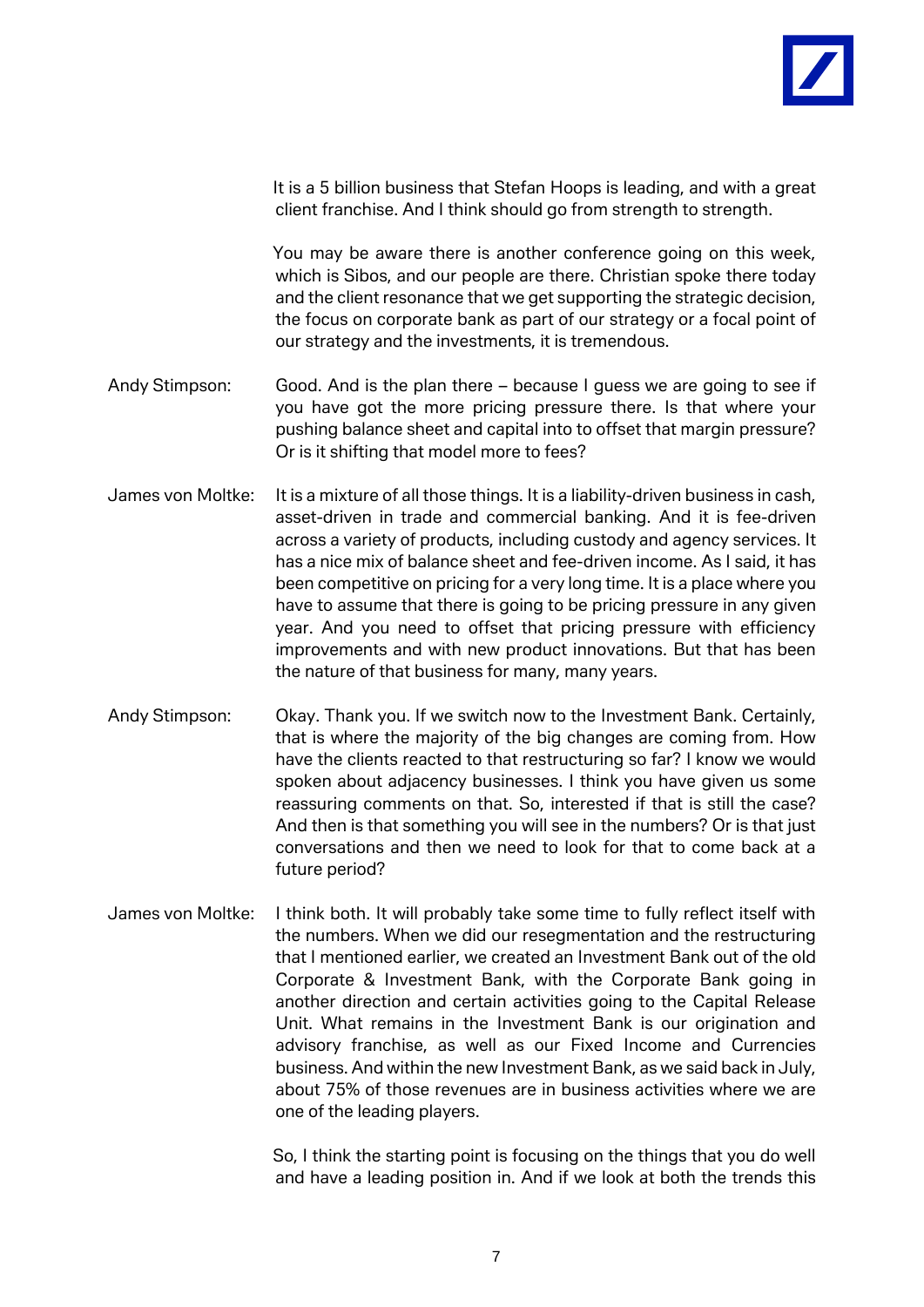

It is a 5 billion business that Stefan Hoops is leading, and with a great client franchise. And I think should go from strength to strength. You may be aware there is another conference going on this week, which is Sibos, and our people are there. Christian spoke there today and the client resonance that we get supporting the strategic decision, the focus on corporate bank as part of our strategy or a focal point of our strategy and the investments, it is tremendous. Andy Stimpson: Good. And is the plan there – because I guess we are going to see if you have got the more pricing pressure there. Is that where your pushing balance sheet and capital into to offset that margin pressure? Or is it shifting that model more to fees? James von Moltke: It is a mixture of all those things. It is a liability-driven business in cash, asset-driven in trade and commercial banking. And it is fee-driven across a variety of products, including custody and agency services. It has a nice mix of balance sheet and fee-driven income. As I said, it has been competitive on pricing for a very long time. It is a place where you have to assume that there is going to be pricing pressure in any given year. And you need to offset that pricing pressure with efficiency improvements and with new product innovations. But that has been the nature of that business for many, many years. Andy Stimpson: Okay. Thank you. If we switch now to the Investment Bank. Certainly, that is where the majority of the big changes are coming from. How have the clients reacted to that restructuring so far? I know we would

spoken about adjacency businesses. I think you have given us some reassuring comments on that. So, interested if that is still the case? And then is that something you will see in the numbers? Or is that just conversations and then we need to look for that to come back at a future period?

James von Moltke: I think both. It will probably take some time to fully reflect itself with the numbers. When we did our resegmentation and the restructuring that I mentioned earlier, we created an Investment Bank out of the old Corporate & Investment Bank, with the Corporate Bank going in another direction and certain activities going to the Capital Release Unit. What remains in the Investment Bank is our origination and advisory franchise, as well as our Fixed Income and Currencies business. And within the new Investment Bank, as we said back in July, about 75% of those revenues are in business activities where we are one of the leading players.

> So, I think the starting point is focusing on the things that you do well and have a leading position in. And if we look at both the trends this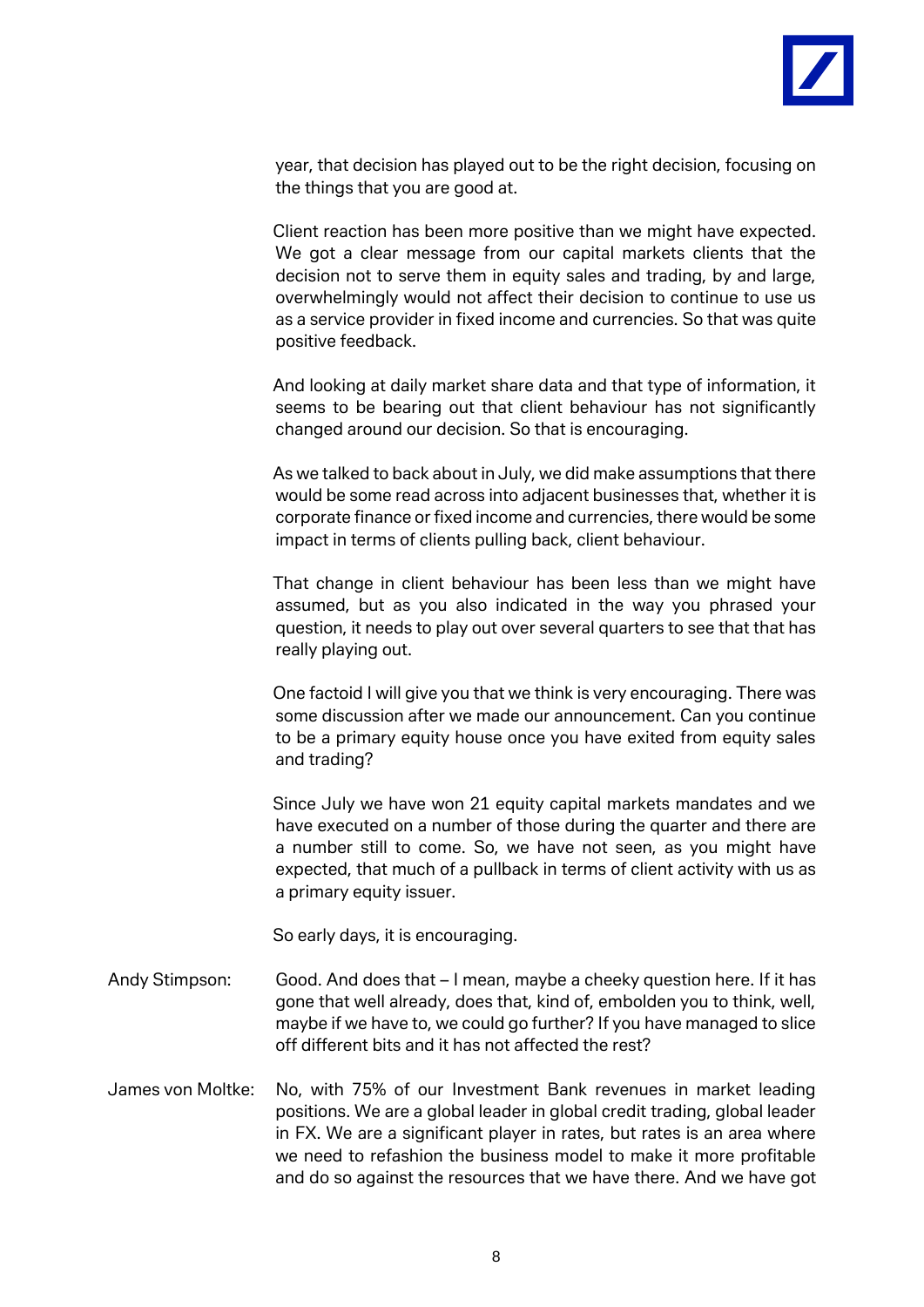

year, that decision has played out to be the right decision, focusing on the things that you are good at.

Client reaction has been more positive than we might have expected. We got a clear message from our capital markets clients that the decision not to serve them in equity sales and trading, by and large, overwhelmingly would not affect their decision to continue to use us as a service provider in fixed income and currencies. So that was quite positive feedback.

And looking at daily market share data and that type of information, it seems to be bearing out that client behaviour has not significantly changed around our decision. So that is encouraging.

As we talked to back about in July, we did make assumptions that there would be some read across into adjacent businesses that, whether it is corporate finance or fixed income and currencies, there would be some impact in terms of clients pulling back, client behaviour.

That change in client behaviour has been less than we might have assumed, but as you also indicated in the way you phrased your question, it needs to play out over several quarters to see that that has really playing out.

One factoid I will give you that we think is very encouraging. There was some discussion after we made our announcement. Can you continue to be a primary equity house once you have exited from equity sales and trading?

Since July we have won 21 equity capital markets mandates and we have executed on a number of those during the quarter and there are a number still to come. So, we have not seen, as you might have expected, that much of a pullback in terms of client activity with us as a primary equity issuer.

So early days, it is encouraging.

- Andy Stimpson: Good. And does that I mean, maybe a cheeky question here. If it has gone that well already, does that, kind of, embolden you to think, well, maybe if we have to, we could go further? If you have managed to slice off different bits and it has not affected the rest?
- James von Moltke: No, with 75% of our Investment Bank revenues in market leading positions. We are a global leader in global credit trading, global leader in FX. We are a significant player in rates, but rates is an area where we need to refashion the business model to make it more profitable and do so against the resources that we have there. And we have got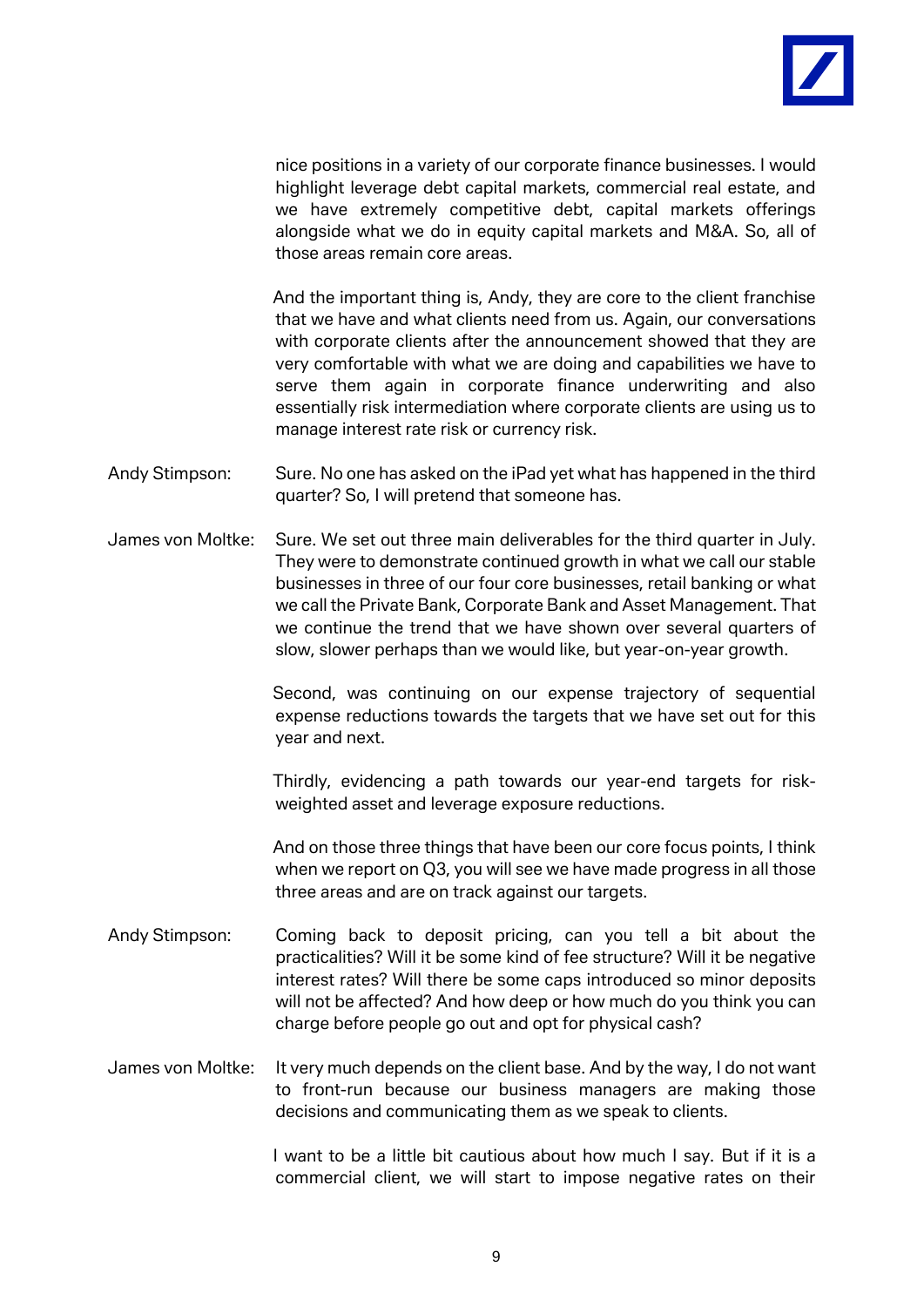

nice positions in a variety of our corporate finance businesses. I would highlight leverage debt capital markets, commercial real estate, and we have extremely competitive debt, capital markets offerings alongside what we do in equity capital markets and M&A. So, all of those areas remain core areas.

And the important thing is, Andy, they are core to the client franchise that we have and what clients need from us. Again, our conversations with corporate clients after the announcement showed that they are very comfortable with what we are doing and capabilities we have to serve them again in corporate finance underwriting and also essentially risk intermediation where corporate clients are using us to manage interest rate risk or currency risk.

- Andy Stimpson: Sure. No one has asked on the iPad yet what has happened in the third quarter? So, I will pretend that someone has.
- James von Moltke: Sure. We set out three main deliverables for the third quarter in July. They were to demonstrate continued growth in what we call our stable businesses in three of our four core businesses, retail banking or what we call the Private Bank, Corporate Bank and Asset Management. That we continue the trend that we have shown over several quarters of slow, slower perhaps than we would like, but year-on-year growth.

Second, was continuing on our expense trajectory of sequential expense reductions towards the targets that we have set out for this year and next.

Thirdly, evidencing a path towards our year-end targets for riskweighted asset and leverage exposure reductions.

And on those three things that have been our core focus points, I think when we report on Q3, you will see we have made progress in all those three areas and are on track against our targets.

- Andy Stimpson: Coming back to deposit pricing, can you tell a bit about the practicalities? Will it be some kind of fee structure? Will it be negative interest rates? Will there be some caps introduced so minor deposits will not be affected? And how deep or how much do you think you can charge before people go out and opt for physical cash?
- James von Moltke: It very much depends on the client base. And by the way, I do not want to front-run because our business managers are making those decisions and communicating them as we speak to clients.

I want to be a little bit cautious about how much I say. But if it is a commercial client, we will start to impose negative rates on their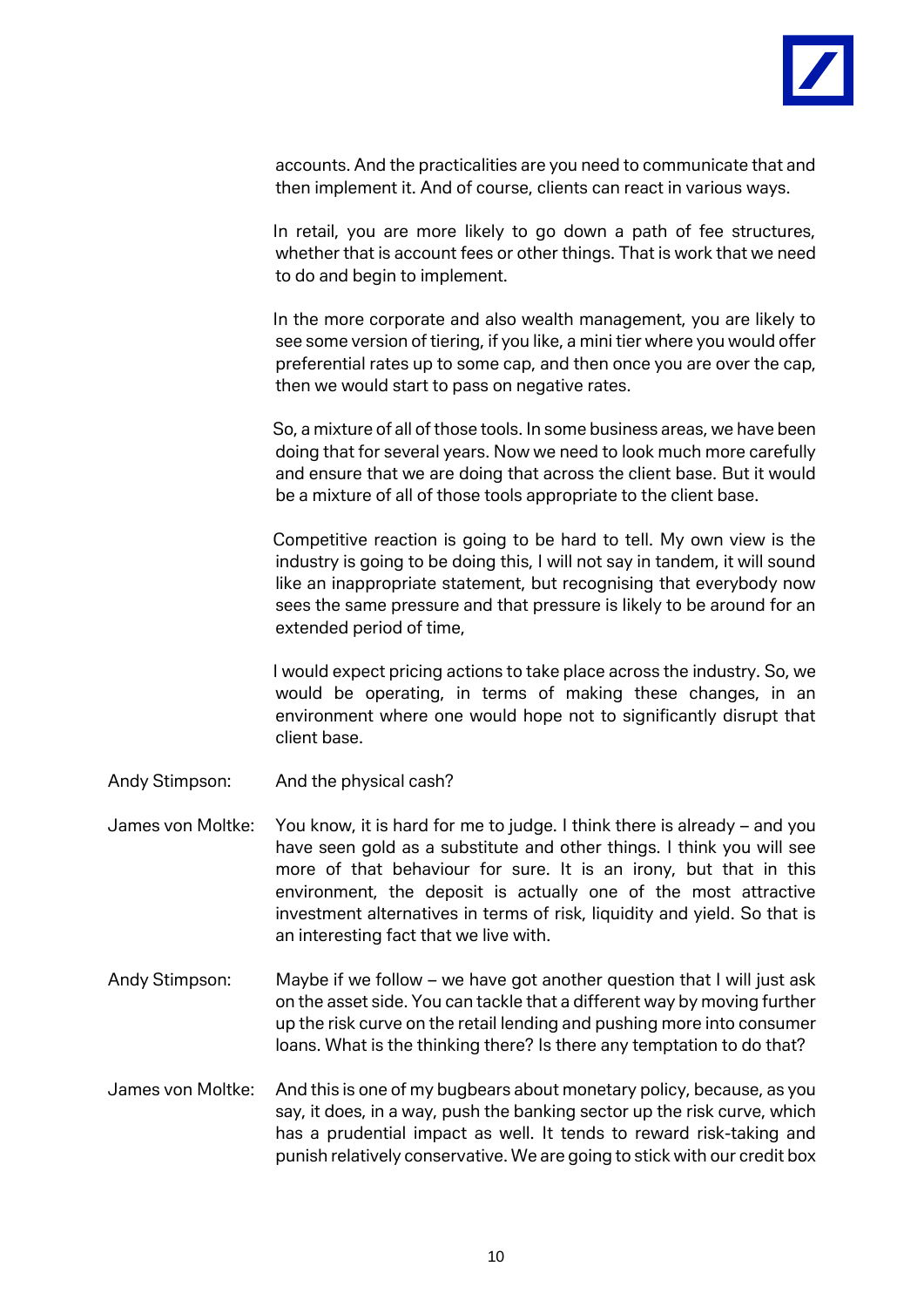

accounts. And the practicalities are you need to communicate that and then implement it. And of course, clients can react in various ways.

In retail, you are more likely to go down a path of fee structures, whether that is account fees or other things. That is work that we need to do and begin to implement.

In the more corporate and also wealth management, you are likely to see some version of tiering, if you like, a mini tier where you would offer preferential rates up to some cap, and then once you are over the cap, then we would start to pass on negative rates.

So, a mixture of all of those tools. In some business areas, we have been doing that for several years. Now we need to look much more carefully and ensure that we are doing that across the client base. But it would be a mixture of all of those tools appropriate to the client base.

Competitive reaction is going to be hard to tell. My own view is the industry is going to be doing this, I will not say in tandem, it will sound like an inappropriate statement, but recognising that everybody now sees the same pressure and that pressure is likely to be around for an extended period of time,

I would expect pricing actions to take place across the industry. So, we would be operating, in terms of making these changes, in an environment where one would hope not to significantly disrupt that client base.

- Andy Stimpson: And the physical cash?
- James von Moltke: You know, it is hard for me to judge. I think there is already and you have seen gold as a substitute and other things. I think you will see more of that behaviour for sure. It is an irony, but that in this environment, the deposit is actually one of the most attractive investment alternatives in terms of risk, liquidity and yield. So that is an interesting fact that we live with.
- Andy Stimpson: Maybe if we follow we have got another question that I will just ask on the asset side. You can tackle that a different way by moving further up the risk curve on the retail lending and pushing more into consumer loans. What is the thinking there? Is there any temptation to do that?
- James von Moltke: And this is one of my bugbears about monetary policy, because, as you say, it does, in a way, push the banking sector up the risk curve, which has a prudential impact as well. It tends to reward risk-taking and punish relatively conservative. We are going to stick with our credit box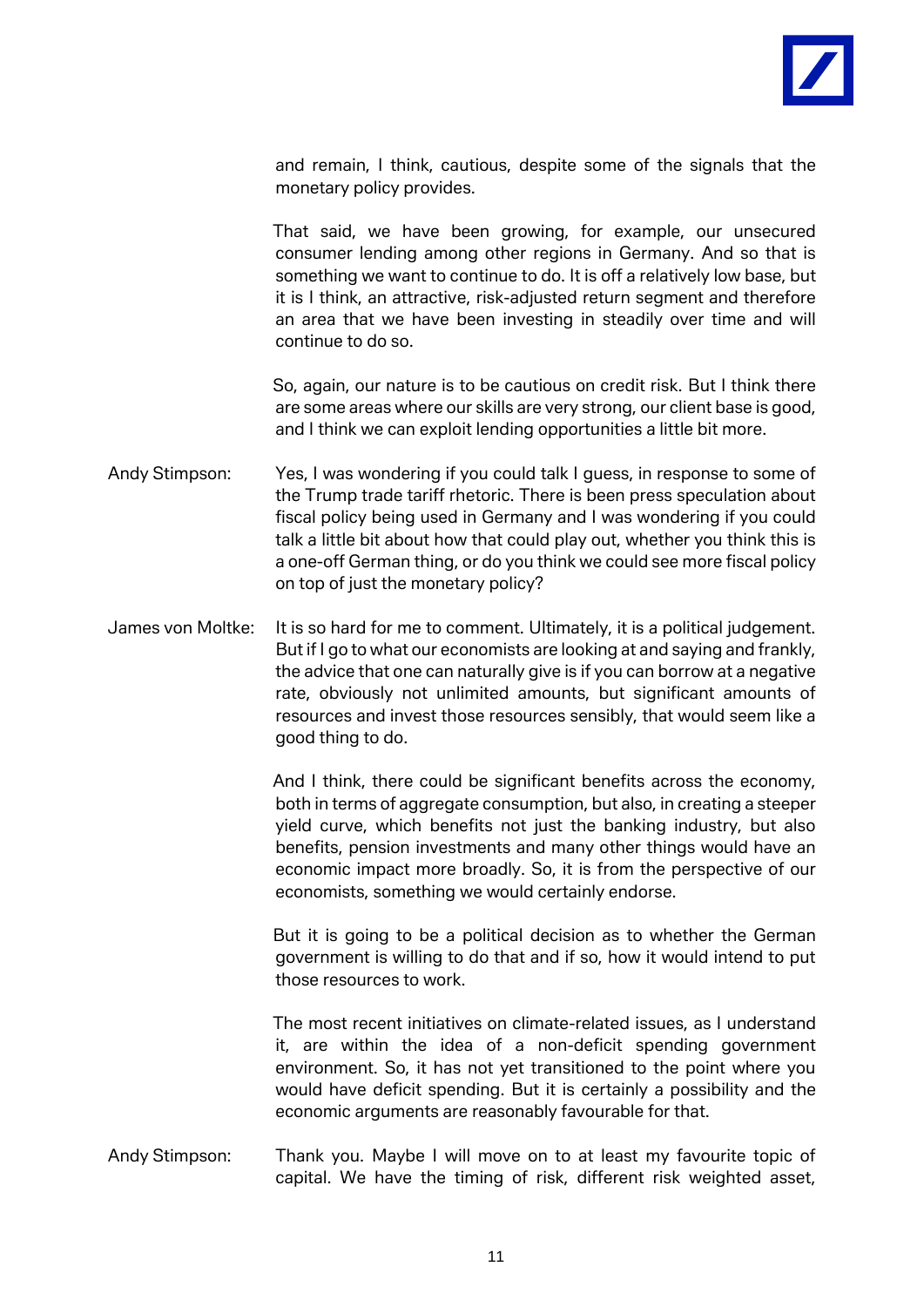

and remain, I think, cautious, despite some of the signals that the monetary policy provides.

That said, we have been growing, for example, our unsecured consumer lending among other regions in Germany. And so that is something we want to continue to do. It is off a relatively low base, but it is I think, an attractive, risk-adjusted return segment and therefore an area that we have been investing in steadily over time and will continue to do so.

So, again, our nature is to be cautious on credit risk. But I think there are some areas where our skills are very strong, our client base is good, and I think we can exploit lending opportunities a little bit more.

- Andy Stimpson: Yes, I was wondering if you could talk I guess, in response to some of the Trump trade tariff rhetoric. There is been press speculation about fiscal policy being used in Germany and I was wondering if you could talk a little bit about how that could play out, whether you think this is a one-off German thing, or do you think we could see more fiscal policy on top of just the monetary policy?
- James von Moltke: It is so hard for me to comment. Ultimately, it is a political judgement. But if I go to what our economists are looking at and saying and frankly, the advice that one can naturally give is if you can borrow at a negative rate, obviously not unlimited amounts, but significant amounts of resources and invest those resources sensibly, that would seem like a good thing to do.

And I think, there could be significant benefits across the economy, both in terms of aggregate consumption, but also, in creating a steeper yield curve, which benefits not just the banking industry, but also benefits, pension investments and many other things would have an economic impact more broadly. So, it is from the perspective of our economists, something we would certainly endorse.

But it is going to be a political decision as to whether the German government is willing to do that and if so, how it would intend to put those resources to work.

The most recent initiatives on climate-related issues, as I understand it, are within the idea of a non-deficit spending government environment. So, it has not yet transitioned to the point where you would have deficit spending. But it is certainly a possibility and the economic arguments are reasonably favourable for that.

Andy Stimpson: Thank you. Maybe I will move on to at least my favourite topic of capital. We have the timing of risk, different risk weighted asset,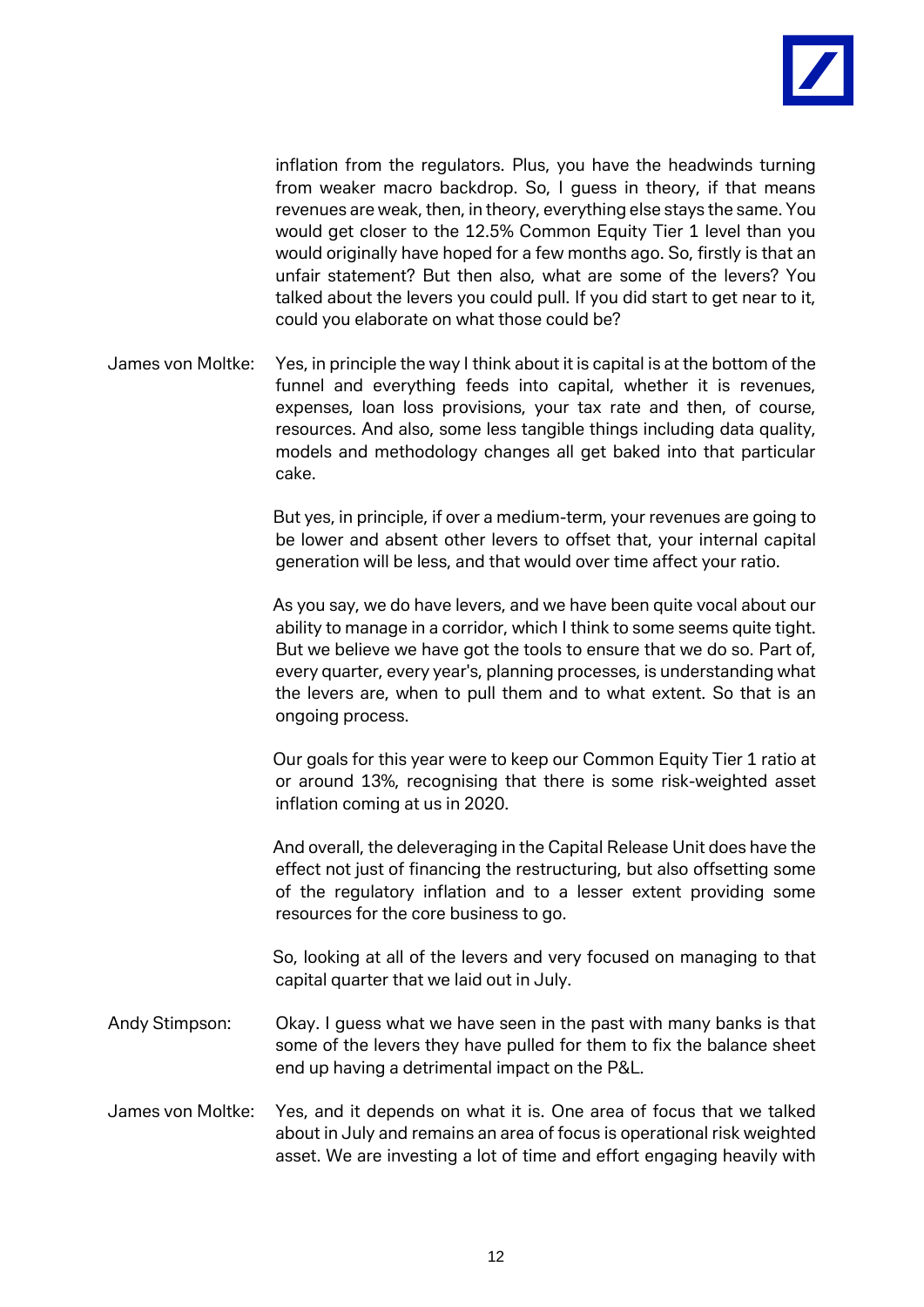

inflation from the regulators. Plus, you have the headwinds turning from weaker macro backdrop. So, I guess in theory, if that means revenues are weak, then, in theory, everything else stays the same. You would get closer to the 12.5% Common Equity Tier 1 level than you would originally have hoped for a few months ago. So, firstly is that an unfair statement? But then also, what are some of the levers? You talked about the levers you could pull. If you did start to get near to it, could you elaborate on what those could be?

James von Moltke: Yes, in principle the way I think about it is capital is at the bottom of the funnel and everything feeds into capital, whether it is revenues, expenses, loan loss provisions, your tax rate and then, of course, resources. And also, some less tangible things including data quality, models and methodology changes all get baked into that particular cake.

> But yes, in principle, if over a medium-term, your revenues are going to be lower and absent other levers to offset that, your internal capital generation will be less, and that would over time affect your ratio.

> As you say, we do have levers, and we have been quite vocal about our ability to manage in a corridor, which I think to some seems quite tight. But we believe we have got the tools to ensure that we do so. Part of, every quarter, every year's, planning processes, is understanding what the levers are, when to pull them and to what extent. So that is an ongoing process.

> Our goals for this year were to keep our Common Equity Tier 1 ratio at or around 13%, recognising that there is some risk-weighted asset inflation coming at us in 2020.

> And overall, the deleveraging in the Capital Release Unit does have the effect not just of financing the restructuring, but also offsetting some of the regulatory inflation and to a lesser extent providing some resources for the core business to go.

> So, looking at all of the levers and very focused on managing to that capital quarter that we laid out in July.

- Andy Stimpson: Okay. I guess what we have seen in the past with many banks is that some of the levers they have pulled for them to fix the balance sheet end up having a detrimental impact on the P&L.
- James von Moltke: Yes, and it depends on what it is. One area of focus that we talked about in July and remains an area of focus is operational risk weighted asset. We are investing a lot of time and effort engaging heavily with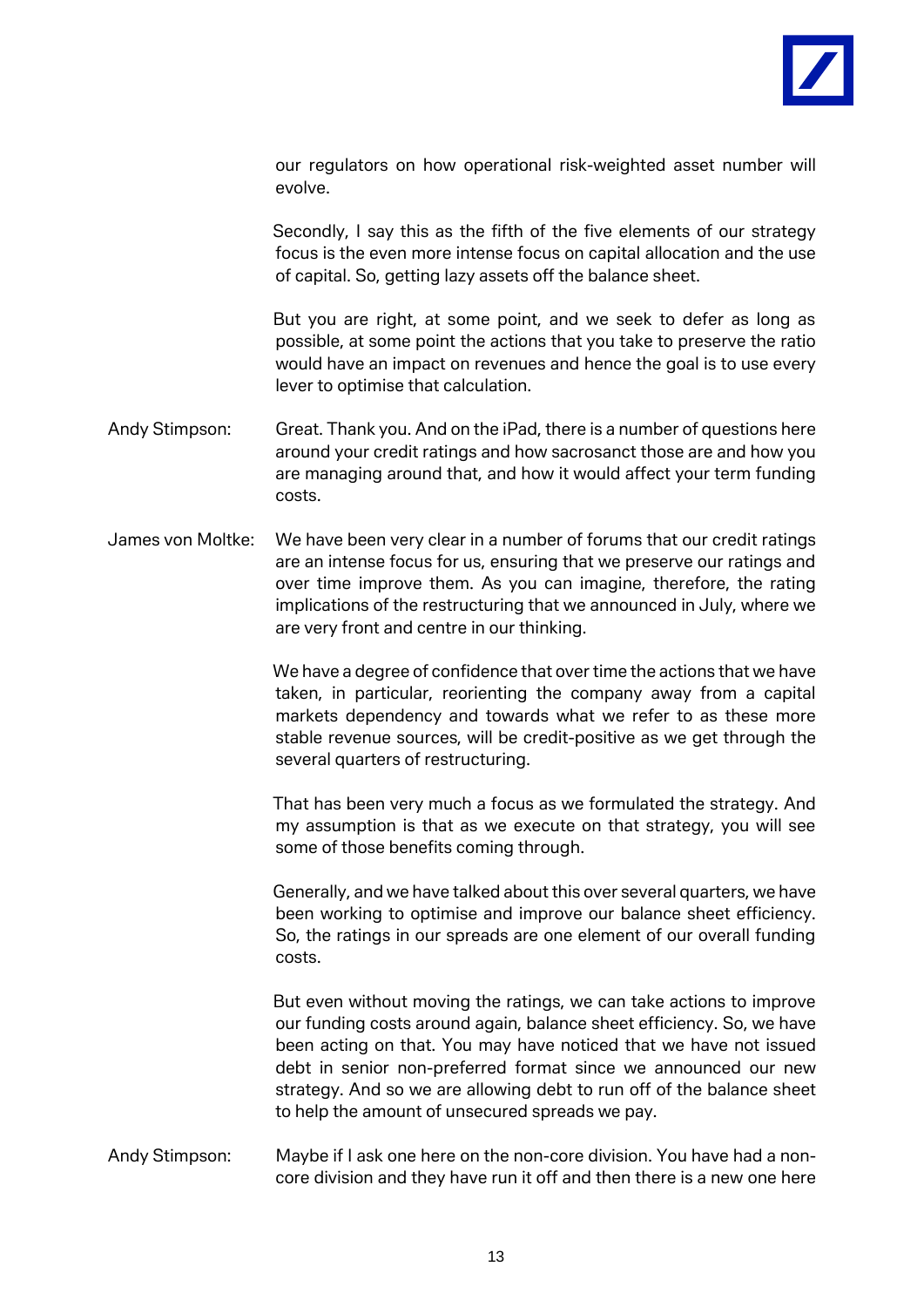

our regulators on how operational risk-weighted asset number will evolve.

Secondly, I say this as the fifth of the five elements of our strategy focus is the even more intense focus on capital allocation and the use of capital. So, getting lazy assets off the balance sheet.

But you are right, at some point, and we seek to defer as long as possible, at some point the actions that you take to preserve the ratio would have an impact on revenues and hence the goal is to use every lever to optimise that calculation.

- Andy Stimpson: Great. Thank you. And on the iPad, there is a number of questions here around your credit ratings and how sacrosanct those are and how you are managing around that, and how it would affect your term funding costs.
- James von Moltke: We have been very clear in a number of forums that our credit ratings are an intense focus for us, ensuring that we preserve our ratings and over time improve them. As you can imagine, therefore, the rating implications of the restructuring that we announced in July, where we are very front and centre in our thinking.

We have a degree of confidence that over time the actions that we have taken, in particular, reorienting the company away from a capital markets dependency and towards what we refer to as these more stable revenue sources, will be credit-positive as we get through the several quarters of restructuring.

That has been very much a focus as we formulated the strategy. And my assumption is that as we execute on that strategy, you will see some of those benefits coming through.

Generally, and we have talked about this over several quarters, we have been working to optimise and improve our balance sheet efficiency. So, the ratings in our spreads are one element of our overall funding costs.

But even without moving the ratings, we can take actions to improve our funding costs around again, balance sheet efficiency. So, we have been acting on that. You may have noticed that we have not issued debt in senior non-preferred format since we announced our new strategy. And so we are allowing debt to run off of the balance sheet to help the amount of unsecured spreads we pay.

Andy Stimpson: Maybe if I ask one here on the non-core division. You have had a noncore division and they have run it off and then there is a new one here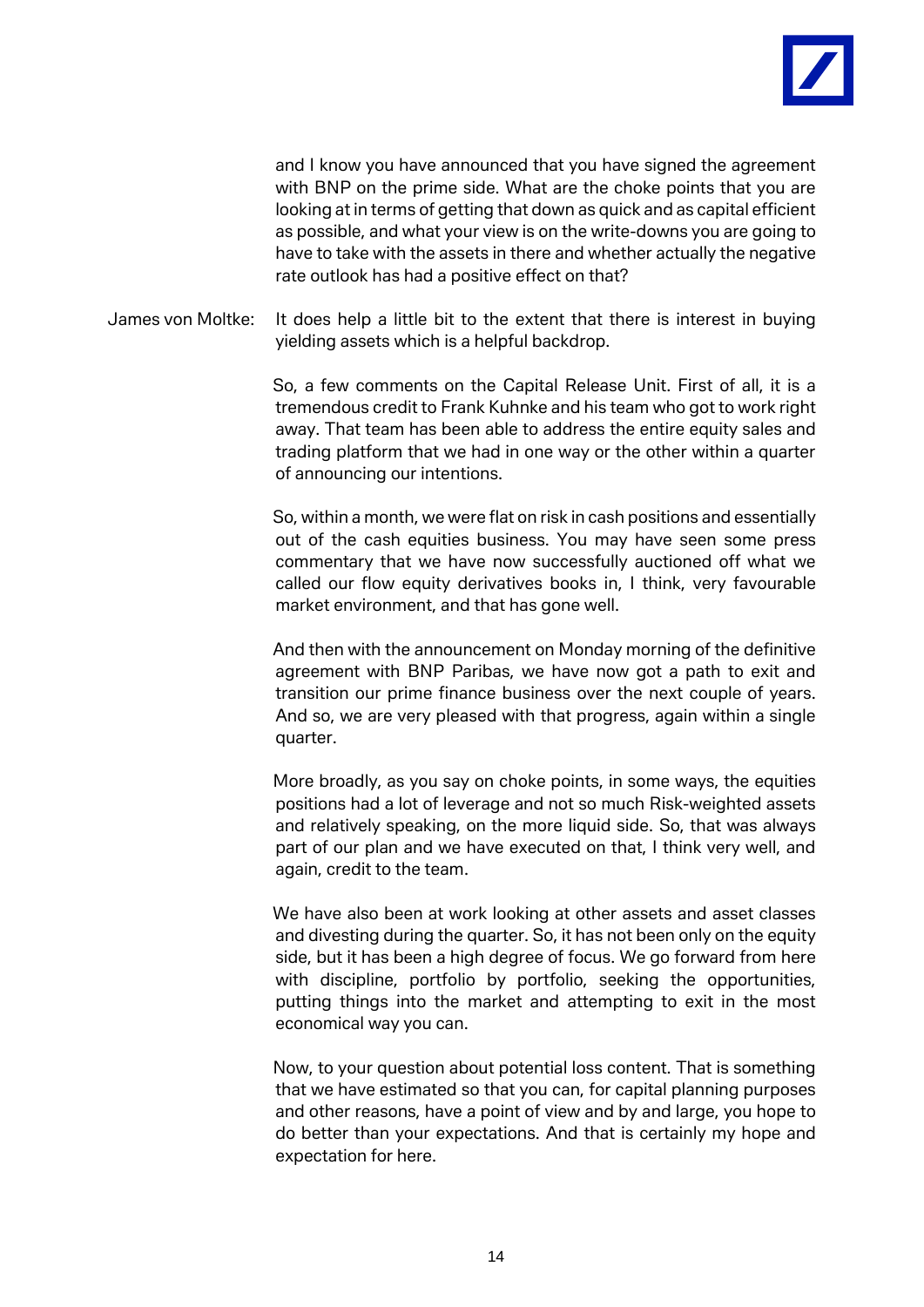

and I know you have announced that you have signed the agreement with BNP on the prime side. What are the choke points that you are looking at in terms of getting that down as quick and as capital efficient as possible, and what your view is on the write-downs you are going to have to take with the assets in there and whether actually the negative rate outlook has had a positive effect on that?

James von Moltke: It does help a little bit to the extent that there is interest in buying yielding assets which is a helpful backdrop.

> So, a few comments on the Capital Release Unit. First of all, it is a tremendous credit to Frank Kuhnke and his team who got to work right away. That team has been able to address the entire equity sales and trading platform that we had in one way or the other within a quarter of announcing our intentions.

> So, within a month, we were flat on risk in cash positions and essentially out of the cash equities business. You may have seen some press commentary that we have now successfully auctioned off what we called our flow equity derivatives books in, I think, very favourable market environment, and that has gone well.

> And then with the announcement on Monday morning of the definitive agreement with BNP Paribas, we have now got a path to exit and transition our prime finance business over the next couple of years. And so, we are very pleased with that progress, again within a single quarter.

> More broadly, as you say on choke points, in some ways, the equities positions had a lot of leverage and not so much Risk-weighted assets and relatively speaking, on the more liquid side. So, that was always part of our plan and we have executed on that, I think very well, and again, credit to the team.

> We have also been at work looking at other assets and asset classes and divesting during the quarter. So, it has not been only on the equity side, but it has been a high degree of focus. We go forward from here with discipline, portfolio by portfolio, seeking the opportunities, putting things into the market and attempting to exit in the most economical way you can.

> Now, to your question about potential loss content. That is something that we have estimated so that you can, for capital planning purposes and other reasons, have a point of view and by and large, you hope to do better than your expectations. And that is certainly my hope and expectation for here.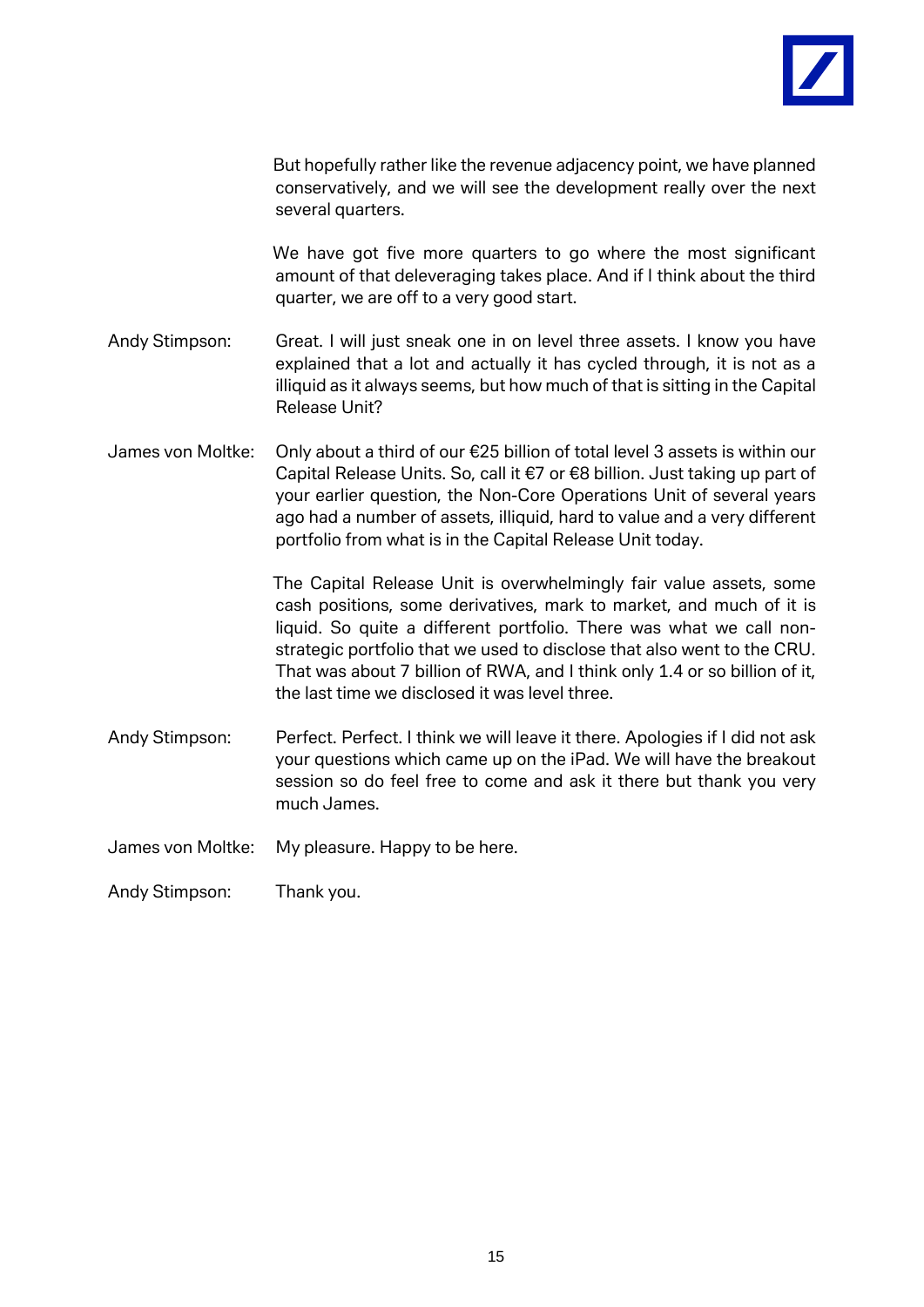

But hopefully rather like the revenue adjacency point, we have planned conservatively, and we will see the development really over the next several quarters.

We have got five more quarters to go where the most significant amount of that deleveraging takes place. And if I think about the third quarter, we are off to a very good start.

- Andy Stimpson: Great. I will just sneak one in on level three assets. I know you have explained that a lot and actually it has cycled through, it is not as a illiquid as it always seems, but how much of that is sitting in the Capital Release Unit?
- James von Moltke: Only about a third of our €25 billion of total level 3 assets is within our Capital Release Units. So, call it €7 or €8 billion. Just taking up part of your earlier question, the Non-Core Operations Unit of several years ago had a number of assets, illiquid, hard to value and a very different portfolio from what is in the Capital Release Unit today.

The Capital Release Unit is overwhelmingly fair value assets, some cash positions, some derivatives, mark to market, and much of it is liquid. So quite a different portfolio. There was what we call nonstrategic portfolio that we used to disclose that also went to the CRU. That was about 7 billion of RWA, and I think only 1.4 or so billion of it, the last time we disclosed it was level three.

- Andy Stimpson: Perfect. Perfect. I think we will leave it there. Apologies if I did not ask your questions which came up on the iPad. We will have the breakout session so do feel free to come and ask it there but thank you very much James.
- James von Moltke: My pleasure. Happy to be here.

Andy Stimpson: Thank you.